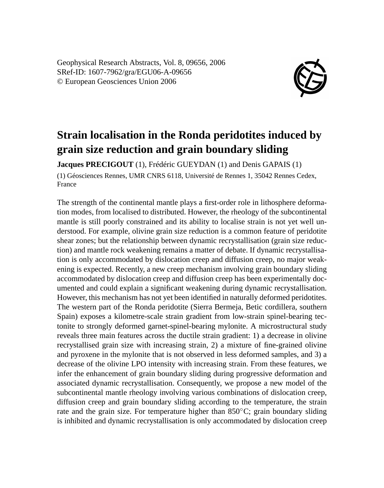Geophysical Research Abstracts, Vol. 8, 09656, 2006 SRef-ID: 1607-7962/gra/EGU06-A-09656 © European Geosciences Union 2006



## **Strain localisation in the Ronda peridotites induced by grain size reduction and grain boundary sliding**

**Jacques PRECIGOUT** (1), Frédéric GUEYDAN (1) and Denis GAPAIS (1) (1) Géosciences Rennes, UMR CNRS 6118, Université de Rennes 1, 35042 Rennes Cedex, France

The strength of the continental mantle plays a first-order role in lithosphere deformation modes, from localised to distributed. However, the rheology of the subcontinental mantle is still poorly constrained and its ability to localise strain is not yet well understood. For example, olivine grain size reduction is a common feature of peridotite shear zones; but the relationship between dynamic recrystallisation (grain size reduction) and mantle rock weakening remains a matter of debate. If dynamic recrystallisation is only accommodated by dislocation creep and diffusion creep, no major weakening is expected. Recently, a new creep mechanism involving grain boundary sliding accommodated by dislocation creep and diffusion creep has been experimentally documented and could explain a significant weakening during dynamic recrystallisation. However, this mechanism has not yet been identified in naturally deformed peridotites. The western part of the Ronda peridotite (Sierra Bermeja, Betic cordillera, southern Spain) exposes a kilometre-scale strain gradient from low-strain spinel-bearing tectonite to strongly deformed garnet-spinel-bearing mylonite. A microstructural study reveals three main features across the ductile strain gradient: 1) a decrease in olivine recrystallised grain size with increasing strain, 2) a mixture of fine-grained olivine and pyroxene in the mylonite that is not observed in less deformed samples, and 3) a decrease of the olivine LPO intensity with increasing strain. From these features, we infer the enhancement of grain boundary sliding during progressive deformation and associated dynamic recrystallisation. Consequently, we propose a new model of the subcontinental mantle rheology involving various combinations of dislocation creep, diffusion creep and grain boundary sliding according to the temperature, the strain rate and the grain size. For temperature higher than  $850^{\circ}$ C; grain boundary sliding is inhibited and dynamic recrystallisation is only accommodated by dislocation creep